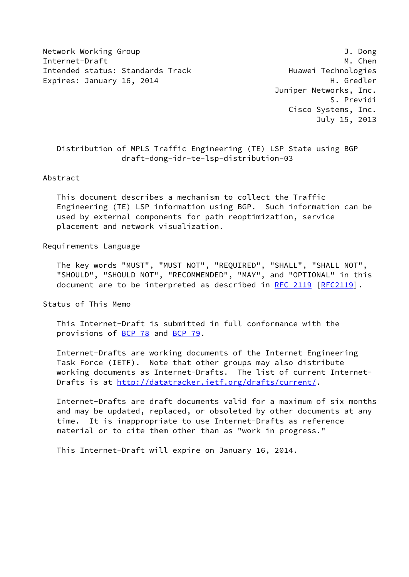Network Working Group 3. The Second Second Second Second Second Second Second Second Second Second Second Second Second Second Second Second Second Second Second Second Second Second Second Second Second Second Second Seco Internet-Draft M. Chen Intended status: Standards Track Track Huawei Technologies Expires: January 16, 2014 **H. Gredler** 

 Juniper Networks, Inc. S. Previdi Cisco Systems, Inc. July 15, 2013

# Distribution of MPLS Traffic Engineering (TE) LSP State using BGP draft-dong-idr-te-lsp-distribution-03

### Abstract

 This document describes a mechanism to collect the Traffic Engineering (TE) LSP information using BGP. Such information can be used by external components for path reoptimization, service placement and network visualization.

### Requirements Language

 The key words "MUST", "MUST NOT", "REQUIRED", "SHALL", "SHALL NOT", "SHOULD", "SHOULD NOT", "RECOMMENDED", "MAY", and "OPTIONAL" in this document are to be interpreted as described in [RFC 2119 \[RFC2119](https://datatracker.ietf.org/doc/pdf/rfc2119)].

Status of This Memo

 This Internet-Draft is submitted in full conformance with the provisions of [BCP 78](https://datatracker.ietf.org/doc/pdf/bcp78) and [BCP 79](https://datatracker.ietf.org/doc/pdf/bcp79).

 Internet-Drafts are working documents of the Internet Engineering Task Force (IETF). Note that other groups may also distribute working documents as Internet-Drafts. The list of current Internet- Drafts is at<http://datatracker.ietf.org/drafts/current/>.

 Internet-Drafts are draft documents valid for a maximum of six months and may be updated, replaced, or obsoleted by other documents at any time. It is inappropriate to use Internet-Drafts as reference material or to cite them other than as "work in progress."

This Internet-Draft will expire on January 16, 2014.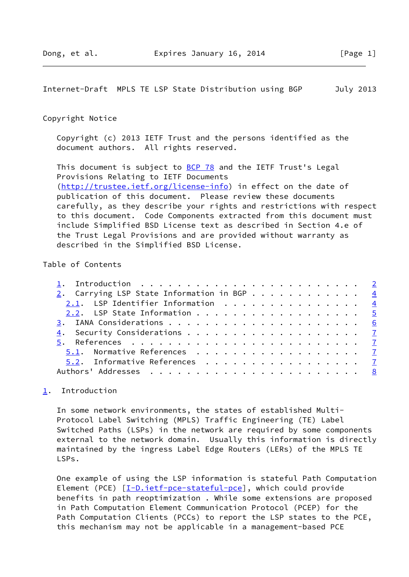<span id="page-1-1"></span>Internet-Draft MPLS TE LSP State Distribution using BGP July 2013

### Copyright Notice

 Copyright (c) 2013 IETF Trust and the persons identified as the document authors. All rights reserved.

This document is subject to **[BCP 78](https://datatracker.ietf.org/doc/pdf/bcp78)** and the IETF Trust's Legal Provisions Relating to IETF Documents [\(http://trustee.ietf.org/license-info](http://trustee.ietf.org/license-info)) in effect on the date of publication of this document. Please review these documents carefully, as they describe your rights and restrictions with respect to this document. Code Components extracted from this document must include Simplified BSD License text as described in Section 4.e of the Trust Legal Provisions and are provided without warranty as described in the Simplified BSD License.

## Table of Contents

| 2. Carrying LSP State Information in BGP 4 |  |
|--------------------------------------------|--|
| 2.1. LSP Identifier Information 4          |  |
| 2.2. LSP State Information 5               |  |
|                                            |  |
|                                            |  |
|                                            |  |
| 5.1. Normative References 7                |  |
| 5.2. Informative References 7              |  |
|                                            |  |

# <span id="page-1-0"></span>[1](#page-1-0). Introduction

 In some network environments, the states of established Multi- Protocol Label Switching (MPLS) Traffic Engineering (TE) Label Switched Paths (LSPs) in the network are required by some components external to the network domain. Usually this information is directly maintained by the ingress Label Edge Routers (LERs) of the MPLS TE LSPs.

 One example of using the LSP information is stateful Path Computation Element (PCE) [[I-D.ietf-pce-stateful-pce\]](#page-7-2), which could provide benefits in path reoptimization . While some extensions are proposed in Path Computation Element Communication Protocol (PCEP) for the Path Computation Clients (PCCs) to report the LSP states to the PCE, this mechanism may not be applicable in a management-based PCE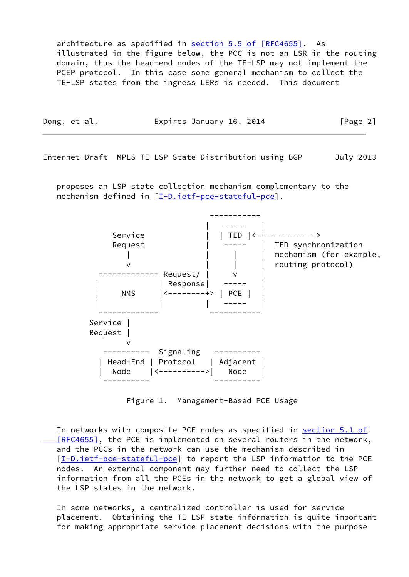architecture as specified in section [5.5 of \[RFC4655\]](https://datatracker.ietf.org/doc/pdf/rfc4655#section-5.5). As illustrated in the figure below, the PCC is not an LSR in the routing domain, thus the head-end nodes of the TE-LSP may not implement the PCEP protocol. In this case some general mechanism to collect the TE-LSP states from the ingress LERs is needed. This document

| Dong, et al. | Expires January 16, 2014 | [Page 2] |
|--------------|--------------------------|----------|
|              |                          |          |

Internet-Draft MPLS TE LSP State Distribution using BGP July 2013

 proposes an LSP state collection mechanism complementary to the mechanism defined in [\[I-D.ietf-pce-stateful-pce\]](#page-7-2).



Figure 1. Management-Based PCE Usage

In networks with composite PCE nodes as specified in [section](https://datatracker.ietf.org/doc/pdf/rfc4655#section-5.1) 5.1 of [RFC4655], the PCE is implemented on several routers in the network, and the PCCs in the network can use the mechanism described in [\[I-D.ietf-pce-stateful-pce](#page-7-2)] to report the LSP information to the PCE nodes. An external component may further need to collect the LSP information from all the PCEs in the network to get a global view of the LSP states in the network.

 In some networks, a centralized controller is used for service placement. Obtaining the TE LSP state information is quite important for making appropriate service placement decisions with the purpose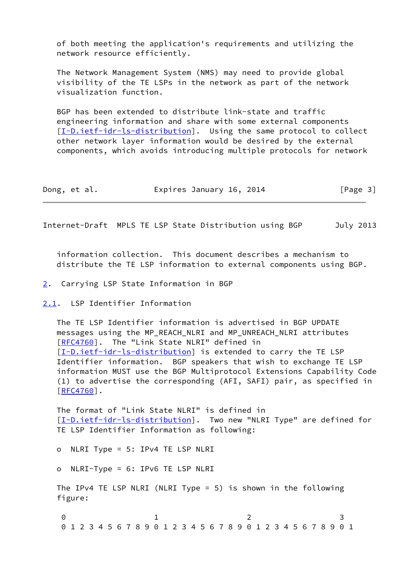of both meeting the application's requirements and utilizing the network resource efficiently.

 The Network Management System (NMS) may need to provide global visibility of the TE LSPs in the network as part of the network visualization function.

 BGP has been extended to distribute link-state and traffic engineering information and share with some external components [\[I-D.ietf-idr-ls-distribution](#page-7-3)]. Using the same protocol to collect other network layer information would be desired by the external components, which avoids introducing multiple protocols for network

| Dong, et al. | Expires January 16, 2014 | [Page 3] |
|--------------|--------------------------|----------|
|--------------|--------------------------|----------|

<span id="page-3-1"></span>Internet-Draft MPLS TE LSP State Distribution using BGP July 2013

 information collection. This document describes a mechanism to distribute the TE LSP information to external components using BGP.

- <span id="page-3-0"></span>[2](#page-3-0). Carrying LSP State Information in BGP
- <span id="page-3-2"></span>[2.1](#page-3-2). LSP Identifier Information

 The TE LSP Identifier information is advertised in BGP UPDATE messages using the MP\_REACH\_NLRI and MP\_UNREACH\_NLRI attributes [\[RFC4760](https://datatracker.ietf.org/doc/pdf/rfc4760)]. The "Link State NLRI" defined in [\[I-D.ietf-idr-ls-distribution](#page-7-3)] is extended to carry the TE LSP Identifier information. BGP speakers that wish to exchange TE LSP information MUST use the BGP Multiprotocol Extensions Capability Code (1) to advertise the corresponding (AFI, SAFI) pair, as specified in [\[RFC4760](https://datatracker.ietf.org/doc/pdf/rfc4760)].

 The format of "Link State NLRI" is defined in [\[I-D.ietf-idr-ls-distribution](#page-7-3)]. Two new "NLRI Type" are defined for TE LSP Identifier Information as following:

o NLRI Type = 5: IPv4 TE LSP NLRI

o NLRI-Type = 6: IPv6 TE LSP NLRI

 The IPv4 TE LSP NLRI (NLRI Type = 5) is shown in the following figure:

0 1 2 3 0 1 2 3 4 5 6 7 8 9 0 1 2 3 4 5 6 7 8 9 0 1 2 3 4 5 6 7 8 9 0 1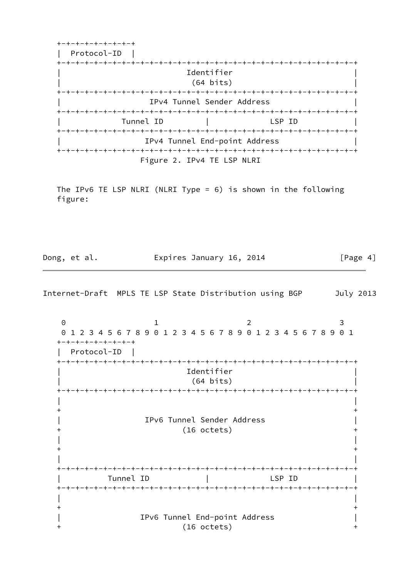+-+-+-+-+-+-+-+-+ | Protocol-ID | +-+-+-+-+-+-+-+-+-+-+-+-+-+-+-+-+-+-+-+-+-+-+-+-+-+-+-+-+-+-+-+-+ | Identifier | | (64 bits) | +-+-+-+-+-+-+-+-+-+-+-+-+-+-+-+-+-+-+-+-+-+-+-+-+-+-+-+-+-+-+-+-+ IPv4 Tunnel Sender Address +-+-+-+-+-+-+-+-+-+-+-+-+-+-+-+-+-+-+-+-+-+-+-+-+-+-+-+-+-+-+-+-+ Tunnel ID | LSP ID +-+-+-+-+-+-+-+-+-+-+-+-+-+-+-+-+-+-+-+-+-+-+-+-+-+-+-+-+-+-+-+-+ | IPv4 Tunnel End-point Address | +-+-+-+-+-+-+-+-+-+-+-+-+-+-+-+-+-+-+-+-+-+-+-+-+-+-+-+-+-+-+-+-+ Figure 2. IPv4 TE LSP NLRI

 The IPv6 TE LSP NLRI (NLRI Type = 6) is shown in the following figure:

Dong, et al. **Expires January 16, 2014** [Page 4]

<span id="page-4-0"></span>Internet-Draft MPLS TE LSP State Distribution using BGP July 2013

0 1 2 3 0 1 2 3 4 5 6 7 8 9 0 1 2 3 4 5 6 7 8 9 0 1 2 3 4 5 6 7 8 9 0 1 +-+-+-+-+-+-+-+-+ | Protocol-ID | +-+-+-+-+-+-+-+-+-+-+-+-+-+-+-+-+-+-+-+-+-+-+-+-+-+-+-+-+-+-+-+-+ | Identifier | | (64 bits) | +-+-+-+-+-+-+-+-+-+-+-+-+-+-+-+-+-+-+-+-+-+-+-+-+-+-+-+-+-+-+-+-+ | |  $+$  +  $+$  | IPv6 Tunnel Sender Address | + (16 octets) + | |  $+$  +  $+$  | | +-+-+-+-+-+-+-+-+-+-+-+-+-+-+-+-+-+-+-+-+-+-+-+-+-+-+-+-+-+-+-+-+ Tunnel ID | LSP ID +-+-+-+-+-+-+-+-+-+-+-+-+-+-+-+-+-+-+-+-+-+-+-+-+-+-+-+-+-+-+-+-+ | |  $+$  +  $+$  | IPv6 Tunnel End-point Address |  $(16$  octets)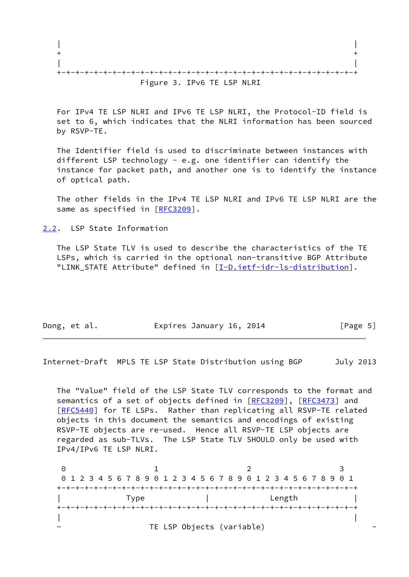| Figure 3. IPv6 TE LSP NLRI |
|----------------------------|

 For IPv4 TE LSP NLRI and IPv6 TE LSP NLRI, the Protocol-ID field is set to 6, which indicates that the NLRI information has been sourced by RSVP-TE.

 The Identifier field is used to discriminate between instances with different LSP technology - e.g. one identifier can identify the instance for packet path, and another one is to identify the instance of optical path.

 The other fields in the IPv4 TE LSP NLRI and IPv6 TE LSP NLRI are the same as specified in [\[RFC3209](https://datatracker.ietf.org/doc/pdf/rfc3209)].

<span id="page-5-0"></span>[2.2](#page-5-0). LSP State Information

 The LSP State TLV is used to describe the characteristics of the TE LSPs, which is carried in the optional non-transitive BGP Attribute "LINK\_STATE Attribute" defined in [[I-D.ietf-idr-ls-distribution\]](#page-7-3).

| Expires January 16, 2014<br>Dong, et al. | [Page 5] |  |
|------------------------------------------|----------|--|
|------------------------------------------|----------|--|

<span id="page-5-1"></span>Internet-Draft MPLS TE LSP State Distribution using BGP July 2013

 The "Value" field of the LSP State TLV corresponds to the format and semantics of a set of objects defined in [\[RFC3209](https://datatracker.ietf.org/doc/pdf/rfc3209)], [\[RFC3473](https://datatracker.ietf.org/doc/pdf/rfc3473)] and [\[RFC5440](https://datatracker.ietf.org/doc/pdf/rfc5440)] for TE LSPs. Rather than replicating all RSVP-TE related objects in this document the semantics and encodings of existing RSVP-TE objects are re-used. Hence all RSVP-TE LSP objects are regarded as sub-TLVs. The LSP State TLV SHOULD only be used with IPv4/IPv6 TE LSP NLRI.

0 1 2 3 0 1 2 3 4 5 6 7 8 9 0 1 2 3 4 5 6 7 8 9 0 1 2 3 4 5 6 7 8 9 0 1 +-+-+-+-+-+-+-+-+-+-+-+-+-+-+-+-+-+-+-+-+-+-+-+-+-+-+-+-+-+-+-+-+ | Type | Length | +-+-+-+-+-+-+-+-+-+-+-+-+-+-+-+-+-+-+-+-+-+-+-+-+-+-+-+-+-+-+-+-+ | | TE LSP Objects (variable)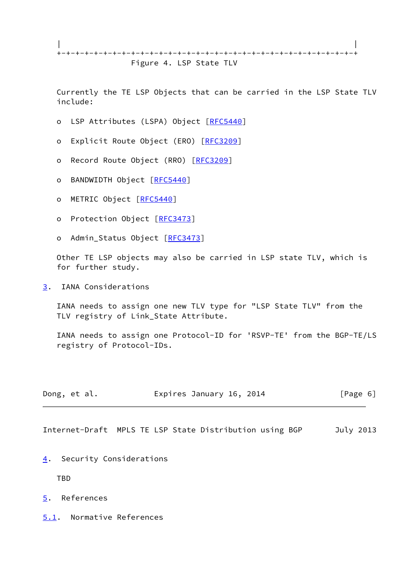| | +-+-+-+-+-+-+-+-+-+-+-+-+-+-+-+-+-+-+-+-+-+-+-+-+-+-+-+-+-+-+-+-+ Figure 4. LSP State TLV

 Currently the TE LSP Objects that can be carried in the LSP State TLV include:

- o LSP Attributes (LSPA) Object [\[RFC5440](https://datatracker.ietf.org/doc/pdf/rfc5440)]
- o Explicit Route Object (ERO) [\[RFC3209](https://datatracker.ietf.org/doc/pdf/rfc3209)]
- o Record Route Object (RRO) [\[RFC3209](https://datatracker.ietf.org/doc/pdf/rfc3209)]
- o BANDWIDTH Object [\[RFC5440](https://datatracker.ietf.org/doc/pdf/rfc5440)]
- o METRIC Object [\[RFC5440](https://datatracker.ietf.org/doc/pdf/rfc5440)]
- o Protection Object [\[RFC3473](https://datatracker.ietf.org/doc/pdf/rfc3473)]
- o Admin\_Status Object [\[RFC3473](https://datatracker.ietf.org/doc/pdf/rfc3473)]

 Other TE LSP objects may also be carried in LSP state TLV, which is for further study.

<span id="page-6-0"></span>[3](#page-6-0). IANA Considerations

 IANA needs to assign one new TLV type for "LSP State TLV" from the TLV registry of Link\_State Attribute.

 IANA needs to assign one Protocol-ID for 'RSVP-TE' from the BGP-TE/LS registry of Protocol-IDs.

| Dong, et al. | Expires January 16, 2014 | [Page 6] |
|--------------|--------------------------|----------|
|--------------|--------------------------|----------|

<span id="page-6-2"></span>Internet-Draft MPLS TE LSP State Distribution using BGP July 2013

<span id="page-6-1"></span>[4](#page-6-1). Security Considerations

TBD

- <span id="page-6-3"></span>[5](#page-6-3). References
- <span id="page-6-4"></span>[5.1](#page-6-4). Normative References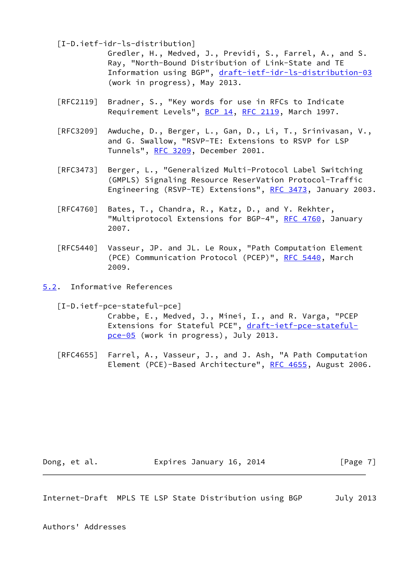<span id="page-7-3"></span>[I-D.ietf-idr-ls-distribution]

 Gredler, H., Medved, J., Previdi, S., Farrel, A., and S. Ray, "North-Bound Distribution of Link-State and TE Information using BGP", [draft-ietf-idr-ls-distribution-03](https://datatracker.ietf.org/doc/pdf/draft-ietf-idr-ls-distribution-03) (work in progress), May 2013.

- [RFC2119] Bradner, S., "Key words for use in RFCs to Indicate Requirement Levels", [BCP 14](https://datatracker.ietf.org/doc/pdf/bcp14), [RFC 2119](https://datatracker.ietf.org/doc/pdf/rfc2119), March 1997.
- [RFC3209] Awduche, D., Berger, L., Gan, D., Li, T., Srinivasan, V., and G. Swallow, "RSVP-TE: Extensions to RSVP for LSP Tunnels", [RFC 3209](https://datatracker.ietf.org/doc/pdf/rfc3209), December 2001.
- [RFC3473] Berger, L., "Generalized Multi-Protocol Label Switching (GMPLS) Signaling Resource ReserVation Protocol-Traffic Engineering (RSVP-TE) Extensions", [RFC 3473](https://datatracker.ietf.org/doc/pdf/rfc3473), January 2003.
- [RFC4760] Bates, T., Chandra, R., Katz, D., and Y. Rekhter, "Multiprotocol Extensions for BGP-4", [RFC 4760](https://datatracker.ietf.org/doc/pdf/rfc4760), January 2007.
- [RFC5440] Vasseur, JP. and JL. Le Roux, "Path Computation Element (PCE) Communication Protocol (PCEP)", [RFC 5440](https://datatracker.ietf.org/doc/pdf/rfc5440), March 2009.
- <span id="page-7-0"></span>[5.2](#page-7-0). Informative References

<span id="page-7-2"></span> [I-D.ietf-pce-stateful-pce] Crabbe, E., Medved, J., Minei, I., and R. Varga, "PCEP Extensions for Stateful PCE", [draft-ietf-pce-stateful](https://datatracker.ietf.org/doc/pdf/draft-ietf-pce-stateful-pce-05) [pce-05](https://datatracker.ietf.org/doc/pdf/draft-ietf-pce-stateful-pce-05) (work in progress), July 2013.

 [RFC4655] Farrel, A., Vasseur, J., and J. Ash, "A Path Computation Element (PCE)-Based Architecture", [RFC 4655](https://datatracker.ietf.org/doc/pdf/rfc4655), August 2006.

Dong, et al. **Expires January 16, 2014** [Page 7]

<span id="page-7-1"></span>Internet-Draft MPLS TE LSP State Distribution using BGP July 2013

Authors' Addresses